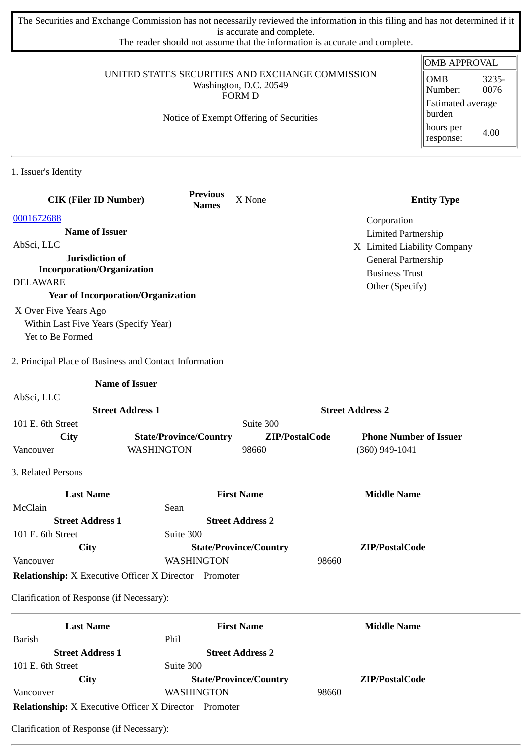The Securities and Exchange Commission has not necessarily reviewed the information in this filing and has not determined if it is accurate and complete.

The reader should not assume that the information is accurate and complete.

|                                                              |                                 |                                                                            |                               | <b>OMB APPROVAL</b>                    |
|--------------------------------------------------------------|---------------------------------|----------------------------------------------------------------------------|-------------------------------|----------------------------------------|
|                                                              |                                 | UNITED STATES SECURITIES AND EXCHANGE COMMISSION<br>Washington, D.C. 20549 |                               | <b>OMB</b><br>3235-<br>0076<br>Number: |
| <b>FORM D</b><br>Notice of Exempt Offering of Securities     |                                 |                                                                            |                               | <b>Estimated average</b><br>burden     |
|                                                              |                                 |                                                                            |                               | hours per<br>4.00<br>response:         |
| 1. Issuer's Identity                                         |                                 |                                                                            |                               |                                        |
| <b>CIK (Filer ID Number)</b>                                 | <b>Previous</b><br><b>Names</b> | X None                                                                     |                               | <b>Entity Type</b>                     |
| 0001672688                                                   |                                 |                                                                            | Corporation                   |                                        |
| <b>Name of Issuer</b>                                        |                                 |                                                                            | <b>Limited Partnership</b>    |                                        |
| AbSci, LLC                                                   |                                 |                                                                            | X Limited Liability Company   |                                        |
| Jurisdiction of                                              |                                 |                                                                            | General Partnership           |                                        |
| <b>Incorporation/Organization</b>                            |                                 |                                                                            | <b>Business Trust</b>         |                                        |
| <b>DELAWARE</b>                                              |                                 |                                                                            | Other (Specify)               |                                        |
| <b>Year of Incorporation/Organization</b>                    |                                 |                                                                            |                               |                                        |
| X Over Five Years Ago                                        |                                 |                                                                            |                               |                                        |
| Within Last Five Years (Specify Year)<br>Yet to Be Formed    |                                 |                                                                            |                               |                                        |
|                                                              |                                 |                                                                            |                               |                                        |
| 2. Principal Place of Business and Contact Information       |                                 |                                                                            |                               |                                        |
|                                                              | <b>Name of Issuer</b>           |                                                                            |                               |                                        |
| AbSci, LLC                                                   |                                 |                                                                            |                               |                                        |
|                                                              | <b>Street Address 1</b>         |                                                                            | <b>Street Address 2</b>       |                                        |
| 101 E. 6th Street                                            |                                 | Suite 300                                                                  |                               |                                        |
| City                                                         | <b>State/Province/Country</b>   | ZIP/PostalCode                                                             | <b>Phone Number of Issuer</b> |                                        |
| Vancouver                                                    | <b>WASHINGTON</b>               | 98660                                                                      | $(360)$ 949-1041              |                                        |
| 3. Related Persons                                           |                                 |                                                                            |                               |                                        |
| <b>Last Name</b>                                             |                                 | <b>First Name</b>                                                          | <b>Middle Name</b>            |                                        |
| McClain                                                      | Sean                            |                                                                            |                               |                                        |
| <b>Street Address 1</b>                                      |                                 | <b>Street Address 2</b>                                                    |                               |                                        |
| 101 E. 6th Street                                            | Suite 300                       |                                                                            |                               |                                        |
| <b>City</b>                                                  |                                 | <b>State/Province/Country</b>                                              | ZIP/PostalCode                |                                        |
| Vancouver                                                    | <b>WASHINGTON</b>               |                                                                            | 98660                         |                                        |
| <b>Relationship:</b> X Executive Officer X Director Promoter |                                 |                                                                            |                               |                                        |
| Clarification of Response (if Necessary):                    |                                 |                                                                            |                               |                                        |
|                                                              |                                 |                                                                            |                               |                                        |
| <b>Last Name</b><br><b>Barish</b>                            | Phil                            | <b>First Name</b>                                                          | <b>Middle Name</b>            |                                        |
|                                                              |                                 |                                                                            |                               |                                        |
|                                                              |                                 |                                                                            |                               |                                        |
| <b>Street Address 1</b>                                      |                                 | <b>Street Address 2</b>                                                    |                               |                                        |
| 101 E. 6th Street<br><b>City</b>                             | Suite 300                       | <b>State/Province/Country</b>                                              | ZIP/PostalCode                |                                        |

**Relationship:** X Executive Officer X Director Promoter

Clarification of Response (if Necessary):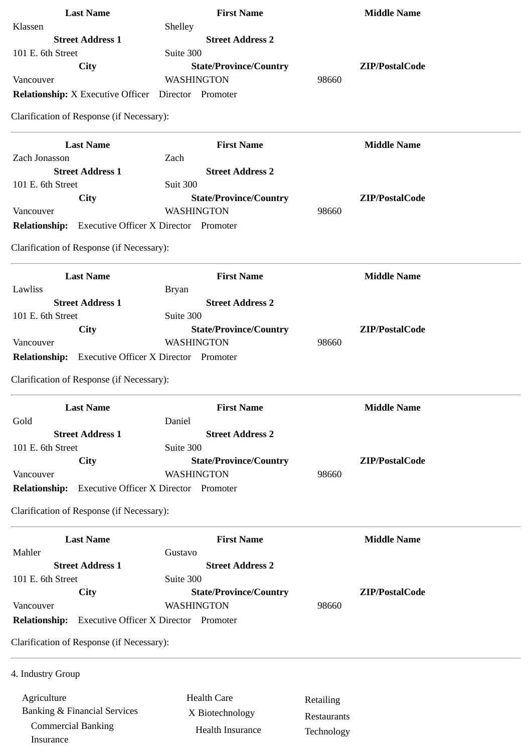| <b>Last Name</b>                                             | <b>First Name</b>             | <b>Middle Name</b> |  |
|--------------------------------------------------------------|-------------------------------|--------------------|--|
| Klassen                                                      | Shelley                       |                    |  |
| <b>Street Address 1</b>                                      | <b>Street Address 2</b>       |                    |  |
| 101 E. 6th Street                                            | Suite 300                     |                    |  |
| City                                                         | <b>State/Province/Country</b> | ZIP/PostalCode     |  |
| Vancouver                                                    | WASHINGTON                    | 98660              |  |
| <b>Relationship:</b> X Executive Officer  Director  Promoter |                               |                    |  |
| Clarification of Response (if Necessary):                    |                               |                    |  |
|                                                              |                               |                    |  |
| <b>Last Name</b>                                             | <b>First Name</b>             | <b>Middle Name</b> |  |
| Zach Jonasson                                                | Zach                          |                    |  |
| <b>Street Address 1</b>                                      | <b>Street Address 2</b>       |                    |  |
| 101 E. 6th Street                                            | <b>Suit 300</b>               |                    |  |
| <b>City</b>                                                  | <b>State/Province/Country</b> | ZIP/PostalCode     |  |
| Vancouver                                                    | <b>WASHINGTON</b>             | 98660              |  |
| <b>Relationship:</b> Executive Officer X Director Promoter   |                               |                    |  |
| Clarification of Response (if Necessary):                    |                               |                    |  |
|                                                              |                               |                    |  |
| <b>Last Name</b>                                             | <b>First Name</b>             | <b>Middle Name</b> |  |
| Lawliss                                                      | <b>Bryan</b>                  |                    |  |
| <b>Street Address 1</b>                                      | <b>Street Address 2</b>       |                    |  |
| 101 E. 6th Street                                            | Suite 300                     |                    |  |
| City                                                         | <b>State/Province/Country</b> | ZIP/PostalCode     |  |
| Vancouver                                                    | WASHINGTON                    | 98660              |  |
| Relationship: Executive Officer X Director Promoter          |                               |                    |  |
|                                                              |                               |                    |  |
| Clarification of Response (if Necessary):                    |                               |                    |  |
| <b>Last Name</b>                                             | <b>First Name</b>             | <b>Middle Name</b> |  |
| Gold                                                         | Daniel                        |                    |  |
| <b>Street Address 1</b>                                      | <b>Street Address 2</b>       |                    |  |
| 101 E. 6th Street                                            | Suite 300                     |                    |  |
| <b>City</b>                                                  | <b>State/Province/Country</b> | ZIP/PostalCode     |  |
| Vancouver                                                    | WASHINGTON                    | 98660              |  |
| <b>Relationship:</b> Executive Officer X Director Promoter   |                               |                    |  |
| Clarification of Response (if Necessary):                    |                               |                    |  |
| <b>Last Name</b>                                             | <b>First Name</b>             | <b>Middle Name</b> |  |
| Mahler                                                       | Gustavo                       |                    |  |
| <b>Street Address 1</b>                                      | <b>Street Address 2</b>       |                    |  |
| 101 E. 6th Street                                            | Suite 300                     |                    |  |
| City                                                         | <b>State/Province/Country</b> | ZIP/PostalCode     |  |
| Vancouver                                                    | <b>WASHINGTON</b>             | 98660              |  |
| <b>Relationship:</b> Executive Officer X Director Promoter   |                               |                    |  |
|                                                              |                               |                    |  |
| Clarification of Response (if Necessary):                    |                               |                    |  |
| 4. Industry Group                                            |                               |                    |  |
| Agriculture                                                  | <b>Health Care</b>            |                    |  |
|                                                              |                               | Retailing          |  |
| <b>Banking &amp; Financial Services</b>                      | X Biotechnology               | Restaurants        |  |
| <b>Commercial Banking</b>                                    | Health Insurance              | Technology         |  |
| Insurance                                                    |                               |                    |  |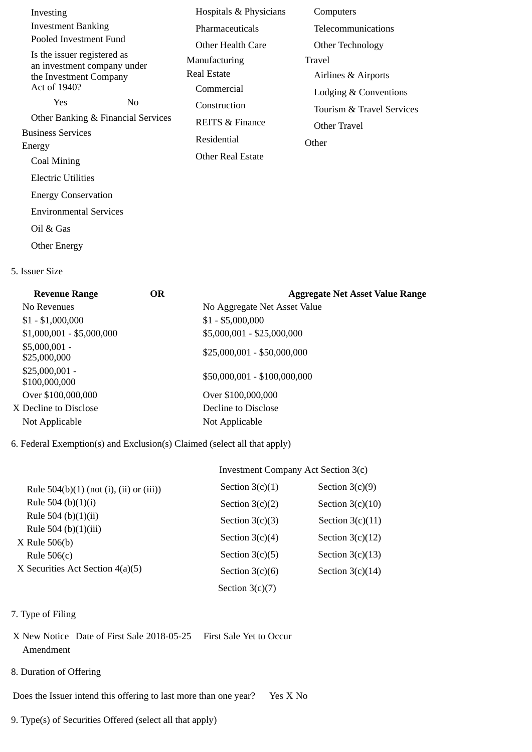| Investing                                             |                | Hospitals & Physicians     | Computers                 |
|-------------------------------------------------------|----------------|----------------------------|---------------------------|
| <b>Investment Banking</b>                             |                | Pharmaceuticals            | <b>Telecommunications</b> |
| Pooled Investment Fund                                |                | Other Health Care          | Other Technology          |
| Is the issuer registered as                           |                | Manufacturing              | Travel                    |
| an investment company under<br>the Investment Company |                | Real Estate                | Airlines & Airports       |
| Act of 1940?                                          |                | Commercial                 |                           |
| Yes                                                   | N <sub>0</sub> |                            | Lodging & Conventions     |
| Other Banking & Financial Services                    |                | Construction               | Tourism & Travel Services |
| <b>Business Services</b>                              |                | <b>REITS &amp; Finance</b> | Other Travel              |
| Energy                                                |                | Residential                | Other                     |
|                                                       |                | Other Real Estate          |                           |
| Coal Mining                                           |                |                            |                           |
| Electric Utilities                                    |                |                            |                           |
| <b>Energy Conservation</b>                            |                |                            |                           |
| <b>Environmental Services</b>                         |                |                            |                           |
| Oil & Gas                                             |                |                            |                           |
| <b>Other Energy</b>                                   |                |                            |                           |

## 5. Issuer Size

| <b>Revenue Range</b>             | <b>OR</b> | <b>Aggregate Net Asset Value Range</b> |
|----------------------------------|-----------|----------------------------------------|
| No Revenues                      |           | No Aggregate Net Asset Value           |
| $$1 - $1,000,000$                |           | $$1 - $5,000,000$                      |
| $$1,000,001 - $5,000,000$        |           | \$5,000,001 - \$25,000,000             |
| $$5,000,001 -$<br>\$25,000,000   |           | $$25,000,001 - $50,000,000$            |
| $$25,000,001 -$<br>\$100,000,000 |           | \$50,000,001 - \$100,000,000           |
| Over \$100,000,000               |           | Over \$100,000,000                     |
| X Decline to Disclose            |           | Decline to Disclose                    |
| Not Applicable                   |           | Not Applicable                         |
|                                  |           |                                        |

## 6. Federal Exemption(s) and Exclusion(s) Claimed (select all that apply)

## Investment Company Act Section 3(c)

| Rule $504(b)(1)$ (not (i), (ii) or (iii)) | Section $3(c)(1)$ | Section $3(c)(9)$  |
|-------------------------------------------|-------------------|--------------------|
| Rule 504 (b) $(1)(i)$                     | Section $3(c)(2)$ | Section $3(c)(10)$ |
| Rule 504 (b) $(1)(ii)$                    | Section $3(c)(3)$ | Section $3(c)(11)$ |
| Rule 504 (b)(1)(iii)<br>$X$ Rule 506(b)   | Section $3(c)(4)$ | Section $3(c)(12)$ |
| Rule $506(c)$                             | Section $3(c)(5)$ | Section $3(c)(13)$ |
| X Securities Act Section $4(a)(5)$        | Section $3(c)(6)$ | Section $3(c)(14)$ |
|                                           | Section $3(c)(7)$ |                    |

## 7. Type of Filing

- X New Notice Date of First Sale 2018-05-25 First Sale Yet to Occur Amendment
- 8. Duration of Offering

Does the Issuer intend this offering to last more than one year? Yes X No

9. Type(s) of Securities Offered (select all that apply)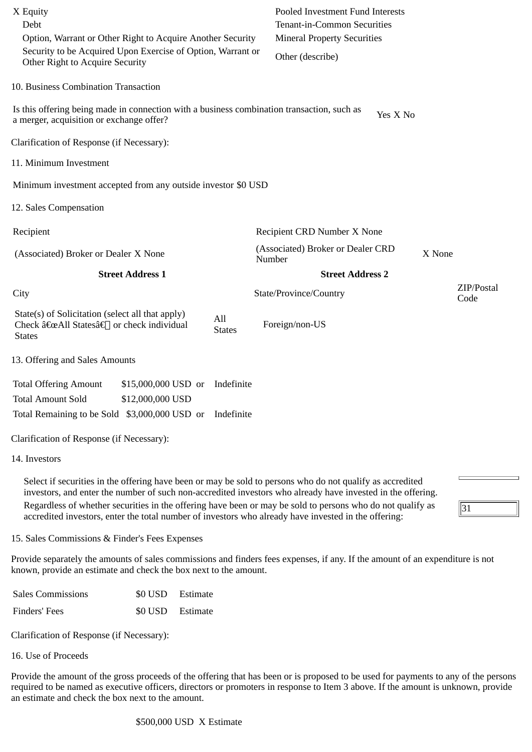| X Equity<br>Debt<br>Option, Warrant or Other Right to Acquire Another Security<br>Security to be Acquired Upon Exercise of Option, Warrant or<br>Other Right to Acquire Security                                         |                          | Pooled Investment Fund Interests<br>Tenant-in-Common Securities<br><b>Mineral Property Securities</b><br>Other (describe) |                    |
|--------------------------------------------------------------------------------------------------------------------------------------------------------------------------------------------------------------------------|--------------------------|---------------------------------------------------------------------------------------------------------------------------|--------------------|
| 10. Business Combination Transaction                                                                                                                                                                                     |                          |                                                                                                                           |                    |
| Is this offering being made in connection with a business combination transaction, such as<br>a merger, acquisition or exchange offer?                                                                                   |                          | Yes X No                                                                                                                  |                    |
| Clarification of Response (if Necessary):                                                                                                                                                                                |                          |                                                                                                                           |                    |
| 11. Minimum Investment                                                                                                                                                                                                   |                          |                                                                                                                           |                    |
| Minimum investment accepted from any outside investor \$0 USD                                                                                                                                                            |                          |                                                                                                                           |                    |
| 12. Sales Compensation                                                                                                                                                                                                   |                          |                                                                                                                           |                    |
| Recipient                                                                                                                                                                                                                |                          | Recipient CRD Number X None                                                                                               |                    |
| (Associated) Broker or Dealer X None                                                                                                                                                                                     |                          | (Associated) Broker or Dealer CRD<br>Number                                                                               | X None             |
| <b>Street Address 1</b>                                                                                                                                                                                                  |                          | <b>Street Address 2</b>                                                                                                   |                    |
| City                                                                                                                                                                                                                     |                          | State/Province/Country                                                                                                    | ZIP/Postal<br>Code |
| State(s) of Solicitation (select all that apply)<br>Check "All Statesâ€[] or check individual<br><b>States</b>                                                                                                           | All<br><b>States</b>     | Foreign/non-US                                                                                                            |                    |
| 13. Offering and Sales Amounts                                                                                                                                                                                           |                          |                                                                                                                           |                    |
| <b>Total Offering Amount</b><br>\$15,000,000 USD or<br>\$12,000,000 USD<br><b>Total Amount Sold</b><br>Total Remaining to be Sold \$3,000,000 USD or                                                                     | Indefinite<br>Indefinite |                                                                                                                           |                    |
| Clarification of Response (if Necessary):                                                                                                                                                                                |                          |                                                                                                                           |                    |
| 14. Investors                                                                                                                                                                                                            |                          |                                                                                                                           |                    |
| Select if securities in the offering have been or may be sold to persons who do not qualify as accredited<br>investors, and enter the number of such non-accredited investors who already have invested in the offering. |                          |                                                                                                                           |                    |
| Regardless of whether securities in the offering have been or may be sold to persons who do not qualify as<br>accredited investors, enter the total number of investors who already have invested in the offering:       |                          |                                                                                                                           | 31                 |
| 15. Sales Commissions & Finder's Fees Expenses                                                                                                                                                                           |                          |                                                                                                                           |                    |
| Provide separately the amounts of sales commissions and finders fees expenses, if any. If the amount of an expenditure is not<br>known, provide an estimate and check the box next to the amount.                        |                          |                                                                                                                           |                    |

| <b>Sales Commissions</b> | \$0 USD Estimate |  |
|--------------------------|------------------|--|
| Finders' Fees            | \$0 USD Estimate |  |

Clarification of Response (if Necessary):

16. Use of Proceeds

Provide the amount of the gross proceeds of the offering that has been or is proposed to be used for payments to any of the persons required to be named as executive officers, directors or promoters in response to Item 3 above. If the amount is unknown, provide an estimate and check the box next to the amount.